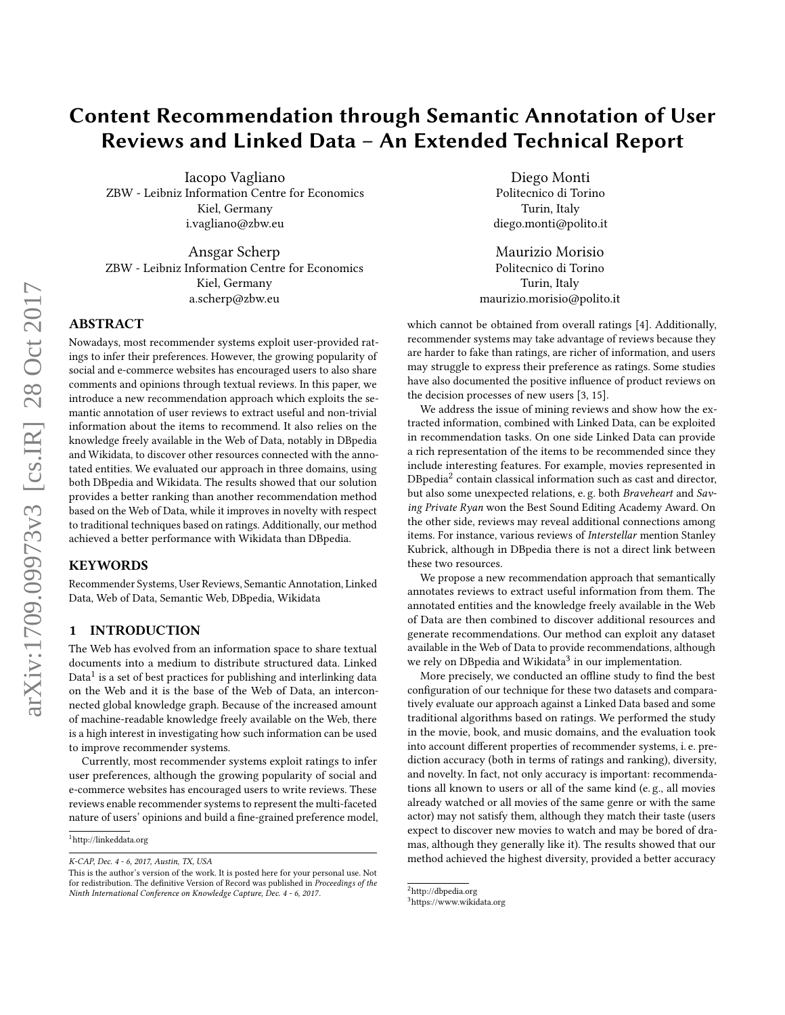# Content Recommendation through Semantic Annotation of User Reviews and Linked Data – An Extended Technical Report

Iacopo Vagliano ZBW - Leibniz Information Centre for Economics Kiel, Germany i.vagliano@zbw.eu

Ansgar Scherp ZBW - Leibniz Information Centre for Economics Kiel, Germany a.scherp@zbw.eu

# ABSTRACT

Nowadays, most recommender systems exploit user-provided ratings to infer their preferences. However, the growing popularity of social and e-commerce websites has encouraged users to also share comments and opinions through textual reviews. In this paper, we introduce a new recommendation approach which exploits the semantic annotation of user reviews to extract useful and non-trivial information about the items to recommend. It also relies on the knowledge freely available in the Web of Data, notably in DBpedia and Wikidata, to discover other resources connected with the annotated entities. We evaluated our approach in three domains, using both DBpedia and Wikidata. The results showed that our solution provides a better ranking than another recommendation method based on the Web of Data, while it improves in novelty with respect to traditional techniques based on ratings. Additionally, our method achieved a better performance with Wikidata than DBpedia.

## KEYWORDS

Recommender Systems, User Reviews, Semantic Annotation, Linked Data, Web of Data, Semantic Web, DBpedia, Wikidata

## 1 INTRODUCTION

The Web has evolved from an information space to share textual documents into a medium to distribute structured data. Linked Data $^1$  $^1$  is a set of best practices for publishing and interlinking data on the Web and it is the base of the Web of Data, an interconnected global knowledge graph. Because of the increased amount of machine-readable knowledge freely available on the Web, there is a high interest in investigating how such information can be used to improve recommender systems.

Currently, most recommender systems exploit ratings to infer user preferences, although the growing popularity of social and e-commerce websites has encouraged users to write reviews. These reviews enable recommender systems to represent the multi-faceted nature of users' opinions and build a fine-grained preference model,

Diego Monti Politecnico di Torino Turin, Italy diego.monti@polito.it

Maurizio Morisio Politecnico di Torino Turin, Italy maurizio.morisio@polito.it

which cannot be obtained from overall ratings [\[4\]](#page-8-0). Additionally, recommender systems may take advantage of reviews because they are harder to fake than ratings, are richer of information, and users may struggle to express their preference as ratings. Some studies have also documented the positive influence of product reviews on the decision processes of new users [\[3,](#page-8-1) [15\]](#page-8-2).

We address the issue of mining reviews and show how the extracted information, combined with Linked Data, can be exploited in recommendation tasks. On one side Linked Data can provide a rich representation of the items to be recommended since they include interesting features. For example, movies represented in  $D$ Bpedia $^2$  $^2$  contain classical information such as cast and director, but also some unexpected relations, e. g. both Braveheart and Saving Private Ryan won the Best Sound Editing Academy Award. On the other side, reviews may reveal additional connections among items. For instance, various reviews of Interstellar mention Stanley Kubrick, although in DBpedia there is not a direct link between these two resources.

We propose a new recommendation approach that semantically annotates reviews to extract useful information from them. The annotated entities and the knowledge freely available in the Web of Data are then combined to discover additional resources and generate recommendations. Our method can exploit any dataset available in the Web of Data to provide recommendations, although we rely on DBpedia and Wikidata<sup>[3](#page-0-2)</sup> in our implementation.

More precisely, we conducted an offline study to find the best configuration of our technique for these two datasets and comparatively evaluate our approach against a Linked Data based and some traditional algorithms based on ratings. We performed the study in the movie, book, and music domains, and the evaluation took into account different properties of recommender systems, i. e. prediction accuracy (both in terms of ratings and ranking), diversity, and novelty. In fact, not only accuracy is important: recommendations all known to users or all of the same kind (e. g., all movies already watched or all movies of the same genre or with the same actor) may not satisfy them, although they match their taste (users expect to discover new movies to watch and may be bored of dramas, although they generally like it). The results showed that our method achieved the highest diversity, provided a better accuracy

<span id="page-0-0"></span><sup>1</sup><http://linkeddata.org>

K-CAP, Dec. 4 - 6, 2017, Austin, TX, USA

This is the author's version of the work. It is posted here for your personal use. Not for redistribution. The definitive Version of Record was published in Proceedings of the Ninth International Conference on Knowledge Capture, Dec. 4 - 6, 2017.

<span id="page-0-1"></span> $^2$ <http://dbpedia.org>

<span id="page-0-2"></span><sup>3</sup><https://www.wikidata.org>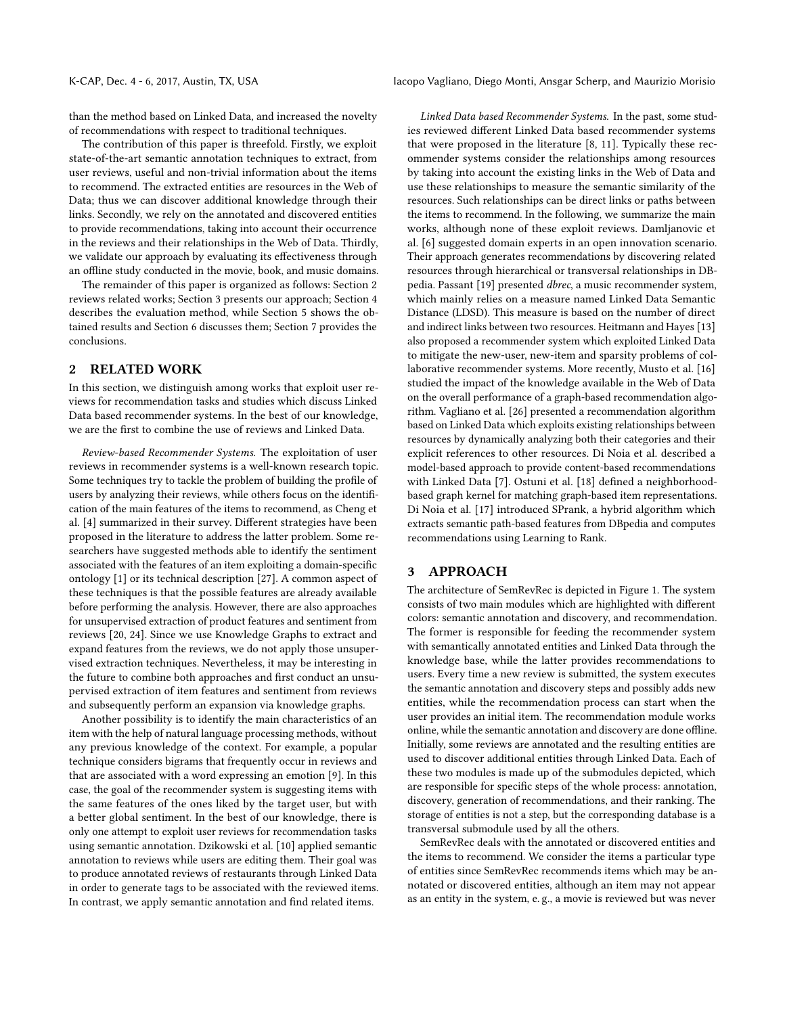than the method based on Linked Data, and increased the novelty of recommendations with respect to traditional techniques.

The contribution of this paper is threefold. Firstly, we exploit state-of-the-art semantic annotation techniques to extract, from user reviews, useful and non-trivial information about the items to recommend. The extracted entities are resources in the Web of Data; thus we can discover additional knowledge through their links. Secondly, we rely on the annotated and discovered entities to provide recommendations, taking into account their occurrence in the reviews and their relationships in the Web of Data. Thirdly, we validate our approach by evaluating its effectiveness through an offline study conducted in the movie, book, and music domains.

The remainder of this paper is organized as follows: Section [2](#page-1-0) reviews related works; Section [3](#page-1-1) presents our approach; Section [4](#page-4-0) describes the evaluation method, while Section [5](#page-4-1) shows the obtained results and Section [6](#page-6-0) discusses them; Section [7](#page-8-3) provides the conclusions.

# <span id="page-1-0"></span>2 RELATED WORK

In this section, we distinguish among works that exploit user reviews for recommendation tasks and studies which discuss Linked Data based recommender systems. In the best of our knowledge, we are the first to combine the use of reviews and Linked Data.

Review-based Recommender Systems. The exploitation of user reviews in recommender systems is a well-known research topic. Some techniques try to tackle the problem of building the profile of users by analyzing their reviews, while others focus on the identification of the main features of the items to recommend, as Cheng et al. [\[4\]](#page-8-0) summarized in their survey. Different strategies have been proposed in the literature to address the latter problem. Some researchers have suggested methods able to identify the sentiment associated with the features of an item exploiting a domain-specific ontology [\[1\]](#page-8-4) or its technical description [\[27\]](#page-8-5). A common aspect of these techniques is that the possible features are already available before performing the analysis. However, there are also approaches for unsupervised extraction of product features and sentiment from reviews [\[20,](#page-8-6) [24\]](#page-8-7). Since we use Knowledge Graphs to extract and expand features from the reviews, we do not apply those unsupervised extraction techniques. Nevertheless, it may be interesting in the future to combine both approaches and first conduct an unsupervised extraction of item features and sentiment from reviews and subsequently perform an expansion via knowledge graphs.

Another possibility is to identify the main characteristics of an item with the help of natural language processing methods, without any previous knowledge of the context. For example, a popular technique considers bigrams that frequently occur in reviews and that are associated with a word expressing an emotion [\[9\]](#page-8-8). In this case, the goal of the recommender system is suggesting items with the same features of the ones liked by the target user, but with a better global sentiment. In the best of our knowledge, there is only one attempt to exploit user reviews for recommendation tasks using semantic annotation. Dzikowski et al. [\[10\]](#page-8-9) applied semantic annotation to reviews while users are editing them. Their goal was to produce annotated reviews of restaurants through Linked Data in order to generate tags to be associated with the reviewed items. In contrast, we apply semantic annotation and find related items.

Linked Data based Recommender Systems. In the past, some studies reviewed different Linked Data based recommender systems that were proposed in the literature [\[8,](#page-8-10) [11\]](#page-8-11). Typically these recommender systems consider the relationships among resources by taking into account the existing links in the Web of Data and use these relationships to measure the semantic similarity of the resources. Such relationships can be direct links or paths between the items to recommend. In the following, we summarize the main works, although none of these exploit reviews. Damljanovic et al. [\[6\]](#page-8-12) suggested domain experts in an open innovation scenario. Their approach generates recommendations by discovering related resources through hierarchical or transversal relationships in DBpedia. Passant [\[19\]](#page-8-13) presented dbrec, a music recommender system, which mainly relies on a measure named Linked Data Semantic Distance (LDSD). This measure is based on the number of direct and indirect links between two resources. Heitmann and Hayes [\[13\]](#page-8-14) also proposed a recommender system which exploited Linked Data to mitigate the new-user, new-item and sparsity problems of collaborative recommender systems. More recently, Musto et al. [\[16\]](#page-8-15) studied the impact of the knowledge available in the Web of Data on the overall performance of a graph-based recommendation algorithm. Vagliano et al. [\[26\]](#page-8-16) presented a recommendation algorithm based on Linked Data which exploits existing relationships between resources by dynamically analyzing both their categories and their explicit references to other resources. Di Noia et al. described a model-based approach to provide content-based recommendations with Linked Data [\[7\]](#page-8-17). Ostuni et al. [\[18\]](#page-8-18) defined a neighborhoodbased graph kernel for matching graph-based item representations. Di Noia et al. [\[17\]](#page-8-19) introduced SPrank, a hybrid algorithm which extracts semantic path-based features from DBpedia and computes recommendations using Learning to Rank.

# <span id="page-1-1"></span>3 APPROACH

The architecture of SemRevRec is depicted in Figure [1.](#page-2-0) The system consists of two main modules which are highlighted with different colors: semantic annotation and discovery, and recommendation. The former is responsible for feeding the recommender system with semantically annotated entities and Linked Data through the knowledge base, while the latter provides recommendations to users. Every time a new review is submitted, the system executes the semantic annotation and discovery steps and possibly adds new entities, while the recommendation process can start when the user provides an initial item. The recommendation module works online, while the semantic annotation and discovery are done offline. Initially, some reviews are annotated and the resulting entities are used to discover additional entities through Linked Data. Each of these two modules is made up of the submodules depicted, which are responsible for specific steps of the whole process: annotation, discovery, generation of recommendations, and their ranking. The storage of entities is not a step, but the corresponding database is a transversal submodule used by all the others.

SemRevRec deals with the annotated or discovered entities and the items to recommend. We consider the items a particular type of entities since SemRevRec recommends items which may be annotated or discovered entities, although an item may not appear as an entity in the system, e. g., a movie is reviewed but was never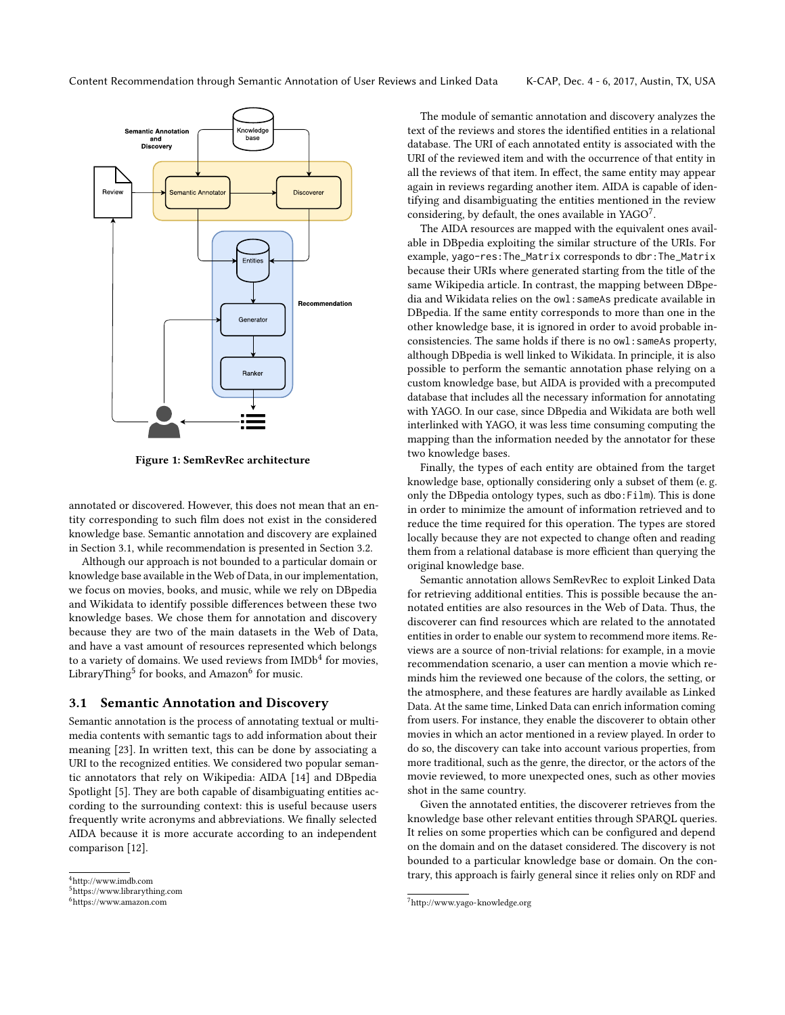<span id="page-2-0"></span>

Figure 1: SemRevRec architecture

annotated or discovered. However, this does not mean that an entity corresponding to such film does not exist in the considered knowledge base. Semantic annotation and discovery are explained in Section [3.1,](#page-2-1) while recommendation is presented in Section [3.2.](#page-3-0)

Although our approach is not bounded to a particular domain or knowledge base available in the Web of Data, in our implementation, we focus on movies, books, and music, while we rely on DBpedia and Wikidata to identify possible differences between these two knowledge bases. We chose them for annotation and discovery because they are two of the main datasets in the Web of Data, and have a vast amount of resources represented which belongs to a variety of domains. We used reviews from  $\mathrm{IMDb}^4$  $\mathrm{IMDb}^4$  for movies, LibraryThing<sup>[5](#page-2-3)</sup> for books, and Amazon<sup>[6](#page-2-4)</sup> for music.

### <span id="page-2-1"></span>3.1 Semantic Annotation and Discovery

Semantic annotation is the process of annotating textual or multimedia contents with semantic tags to add information about their meaning [\[23\]](#page-8-20). In written text, this can be done by associating a URI to the recognized entities. We considered two popular semantic annotators that rely on Wikipedia: AIDA [\[14\]](#page-8-21) and DBpedia Spotlight [\[5\]](#page-8-22). They are both capable of disambiguating entities according to the surrounding context: this is useful because users frequently write acronyms and abbreviations. We finally selected AIDA because it is more accurate according to an independent comparison [\[12\]](#page-8-23).

The module of semantic annotation and discovery analyzes the text of the reviews and stores the identified entities in a relational database. The URI of each annotated entity is associated with the URI of the reviewed item and with the occurrence of that entity in all the reviews of that item. In effect, the same entity may appear again in reviews regarding another item. AIDA is capable of identifying and disambiguating the entities mentioned in the review considering, by default, the ones available in YAGO<sup>[7](#page-2-5)</sup>.

The AIDA resources are mapped with the equivalent ones available in DBpedia exploiting the similar structure of the URIs. For example, yago-res:The\_Matrix corresponds to dbr:The\_Matrix because their URIs where generated starting from the title of the same Wikipedia article. In contrast, the mapping between DBpedia and Wikidata relies on the owl:sameAs predicate available in DBpedia. If the same entity corresponds to more than one in the other knowledge base, it is ignored in order to avoid probable inconsistencies. The same holds if there is no owl: sameAs property, although DBpedia is well linked to Wikidata. In principle, it is also possible to perform the semantic annotation phase relying on a custom knowledge base, but AIDA is provided with a precomputed database that includes all the necessary information for annotating with YAGO. In our case, since DBpedia and Wikidata are both well interlinked with YAGO, it was less time consuming computing the mapping than the information needed by the annotator for these two knowledge bases.

Finally, the types of each entity are obtained from the target knowledge base, optionally considering only a subset of them (e. g. only the DBpedia ontology types, such as dbo:Film). This is done in order to minimize the amount of information retrieved and to reduce the time required for this operation. The types are stored locally because they are not expected to change often and reading them from a relational database is more efficient than querying the original knowledge base.

Semantic annotation allows SemRevRec to exploit Linked Data for retrieving additional entities. This is possible because the annotated entities are also resources in the Web of Data. Thus, the discoverer can find resources which are related to the annotated entities in order to enable our system to recommend more items. Reviews are a source of non-trivial relations: for example, in a movie recommendation scenario, a user can mention a movie which reminds him the reviewed one because of the colors, the setting, or the atmosphere, and these features are hardly available as Linked Data. At the same time, Linked Data can enrich information coming from users. For instance, they enable the discoverer to obtain other movies in which an actor mentioned in a review played. In order to do so, the discovery can take into account various properties, from more traditional, such as the genre, the director, or the actors of the movie reviewed, to more unexpected ones, such as other movies shot in the same country.

Given the annotated entities, the discoverer retrieves from the knowledge base other relevant entities through SPARQL queries. It relies on some properties which can be configured and depend on the domain and on the dataset considered. The discovery is not bounded to a particular knowledge base or domain. On the contrary, this approach is fairly general since it relies only on RDF and

<span id="page-2-2"></span><sup>4</sup><http://www.imdb.com>

<span id="page-2-3"></span><sup>5</sup><https://www.librarything.com>

<span id="page-2-4"></span><sup>6</sup><https://www.amazon.com>

<span id="page-2-5"></span> $7\,\mathrm{http://www.yago-knowledge.org}$  $7\,\mathrm{http://www.yago-knowledge.org}$  $7\,\mathrm{http://www.yago-knowledge.org}$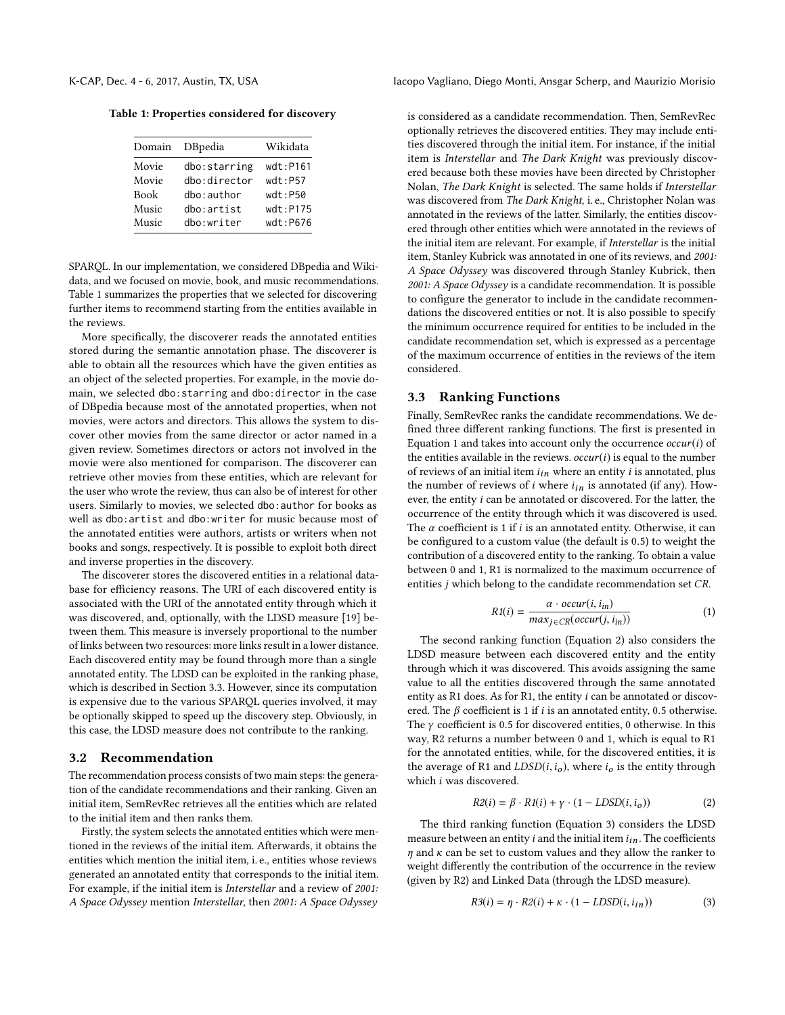Table 1: Properties considered for discovery

| Domain      | DBpedia         | Wikidata    |
|-------------|-----------------|-------------|
| Movie       | dbo:starring    | $wdt:$ P161 |
| Movie       | $dho:$ director | wdt:P57     |
| <b>Book</b> | dbo:author      | $wdt:$ P50  |
| Music       | dbo:artist      | $wdt:$ P175 |
| Music       | dbo:writer      | wdt: P676   |

SPARQL. In our implementation, we considered DBpedia and Wikidata, and we focused on movie, book, and music recommendations. Table [1](#page-3-1) summarizes the properties that we selected for discovering further items to recommend starting from the entities available in the reviews.

More specifically, the discoverer reads the annotated entities stored during the semantic annotation phase. The discoverer is able to obtain all the resources which have the given entities as an object of the selected properties. For example, in the movie domain, we selected dbo:starring and dbo:director in the case of DBpedia because most of the annotated properties, when not movies, were actors and directors. This allows the system to discover other movies from the same director or actor named in a given review. Sometimes directors or actors not involved in the movie were also mentioned for comparison. The discoverer can retrieve other movies from these entities, which are relevant for the user who wrote the review, thus can also be of interest for other users. Similarly to movies, we selected dbo:author for books as well as dbo:artist and dbo:writer for music because most of the annotated entities were authors, artists or writers when not books and songs, respectively. It is possible to exploit both direct and inverse properties in the discovery.

The discoverer stores the discovered entities in a relational database for efficiency reasons. The URI of each discovered entity is associated with the URI of the annotated entity through which it was discovered, and, optionally, with the LDSD measure [\[19\]](#page-8-13) between them. This measure is inversely proportional to the number of links between two resources: more links result in a lower distance. Each discovered entity may be found through more than a single annotated entity. The LDSD can be exploited in the ranking phase, which is described in Section [3.3.](#page-3-2) However, since its computation is expensive due to the various SPARQL queries involved, it may be optionally skipped to speed up the discovery step. Obviously, in this case, the LDSD measure does not contribute to the ranking.

#### <span id="page-3-0"></span>3.2 Recommendation

The recommendation process consists of two main steps: the generation of the candidate recommendations and their ranking. Given an initial item, SemRevRec retrieves all the entities which are related to the initial item and then ranks them.

Firstly, the system selects the annotated entities which were mentioned in the reviews of the initial item. Afterwards, it obtains the entities which mention the initial item, i. e., entities whose reviews generated an annotated entity that corresponds to the initial item. For example, if the initial item is Interstellar and a review of 2001: A Space Odyssey mention Interstellar, then 2001: A Space Odyssey

<span id="page-3-1"></span>K-CAP, Dec. 4 - 6, 2017, Austin, TX, USA Iacopo Vagliano, Diego Monti, Ansgar Scherp, and Maurizio Morisio

is considered as a candidate recommendation. Then, SemRevRec optionally retrieves the discovered entities. They may include entities discovered through the initial item. For instance, if the initial item is Interstellar and The Dark Knight was previously discovered because both these movies have been directed by Christopher Nolan, The Dark Knight is selected. The same holds if Interstellar was discovered from The Dark Knight, i. e., Christopher Nolan was annotated in the reviews of the latter. Similarly, the entities discovered through other entities which were annotated in the reviews of the initial item are relevant. For example, if Interstellar is the initial item, Stanley Kubrick was annotated in one of its reviews, and 2001: A Space Odyssey was discovered through Stanley Kubrick, then 2001: A Space Odyssey is a candidate recommendation. It is possible to configure the generator to include in the candidate recommendations the discovered entities or not. It is also possible to specify the minimum occurrence required for entities to be included in the candidate recommendation set, which is expressed as a percentage of the maximum occurrence of entities in the reviews of the item considered.

#### <span id="page-3-2"></span>3.3 Ranking Functions

Finally, SemRevRec ranks the candidate recommendations. We defined three different ranking functions. The first is presented in Equation [1](#page-3-3) and takes into account only the occurrence  $occur(i)$  of the entities available in the reviews.  $occur(i)$  is equal to the number of reviews of an initial item  $i_{in}$  where an entity  $i$  is annotated, plus the number of reviews of  $i$  where  $i_{in}$  is annotated (if any). However, the entity i can be annotated or discovered. For the latter, the occurrence of the entity through which it was discovered is used. The  $\alpha$  coefficient is 1 if i is an annotated entity. Otherwise, it can be configured to a custom value (the default is <sup>0</sup>.5) to weight the contribution of a discovered entity to the ranking. To obtain a value between 0 and 1, R1 is normalized to the maximum occurrence of entities j which belong to the candidate recommendation set CR.

<span id="page-3-3"></span>
$$
R1(i) = \frac{\alpha \cdot \text{occur}(i, i_{in})}{\max_{j \in CR}(\text{occur}(j, i_{in}))}
$$
(1)

The second ranking function (Equation [2\)](#page-3-4) also considers the LDSD measure between each discovered entity and the entity through which it was discovered. This avoids assigning the same value to all the entities discovered through the same annotated entity as R1 does. As for R1, the entity i can be annotated or discovered. The  $\beta$  coefficient is 1 if i is an annotated entity, 0.5 otherwise. The  $\gamma$  coefficient is 0.5 for discovered entities, 0 otherwise. In this way, R2 returns a number between 0 and 1, which is equal to R1 for the annotated entities, while, for the discovered entities, it is the average of R1 and  $LDSD(i, i<sub>o</sub>)$ , where  $i<sub>o</sub>$  is the entity through which i was discovered.

<span id="page-3-4"></span>
$$
R2(i) = \beta \cdot R1(i) + \gamma \cdot (1 - LDSD(i, i_o))
$$
 (2)

The third ranking function (Equation [3\)](#page-3-5) considers the LDSD measure between an entity  $i$  and the initial item  $i_{in}$ . The coefficients  $\eta$  and  $\kappa$  can be set to custom values and they allow the ranker to weight differently the contribution of the occurrence in the review (given by R2) and Linked Data (through the LDSD measure).

<span id="page-3-5"></span>
$$
R3(i) = \eta \cdot R2(i) + \kappa \cdot (1 - LDSD(i, i_{in}))
$$
\n(3)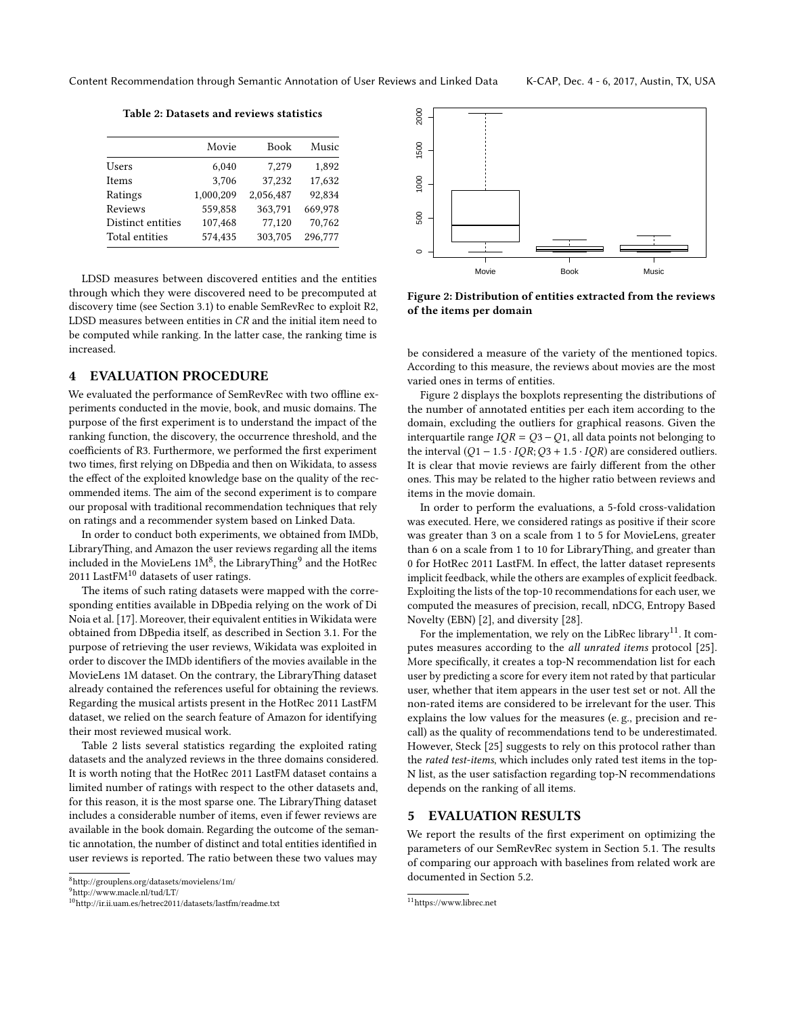Table 2: Datasets and reviews statistics

<span id="page-4-5"></span>

|                   | Movie     | Book      | Music   |
|-------------------|-----------|-----------|---------|
| Users             | 6,040     | 7.279     | 1,892   |
| Items             | 3,706     | 37,232    | 17,632  |
| Ratings           | 1,000,209 | 2.056.487 | 92.834  |
| Reviews           | 559,858   | 363,791   | 669,978 |
| Distinct entities | 107,468   | 77,120    | 70,762  |
| Total entities    | 574,435   | 303,705   | 296,777 |

LDSD measures between discovered entities and the entities through which they were discovered need to be precomputed at discovery time (see Section [3.1\)](#page-2-1) to enable SemRevRec to exploit R2, LDSD measures between entities in CR and the initial item need to be computed while ranking. In the latter case, the ranking time is increased.

## <span id="page-4-0"></span>4 EVALUATION PROCEDURE

We evaluated the performance of SemRevRec with two offline experiments conducted in the movie, book, and music domains. The purpose of the first experiment is to understand the impact of the ranking function, the discovery, the occurrence threshold, and the coefficients of R3. Furthermore, we performed the first experiment two times, first relying on DBpedia and then on Wikidata, to assess the effect of the exploited knowledge base on the quality of the recommended items. The aim of the second experiment is to compare our proposal with traditional recommendation techniques that rely on ratings and a recommender system based on Linked Data.

In order to conduct both experiments, we obtained from IMDb, LibraryThing, and Amazon the user reviews regarding all the items included in the MovieLens  $1M^8$  $1M^8$ , the LibraryThing<sup>[9](#page-4-3)</sup> and the HotRec 2011 Last $FM^{10}$  $FM^{10}$  $FM^{10}$  datasets of user ratings.

The items of such rating datasets were mapped with the corresponding entities available in DBpedia relying on the work of Di Noia et al. [\[17\]](#page-8-19). Moreover, their equivalent entities in Wikidata were obtained from DBpedia itself, as described in Section [3.1.](#page-2-1) For the purpose of retrieving the user reviews, Wikidata was exploited in order to discover the IMDb identifiers of the movies available in the MovieLens 1M dataset. On the contrary, the LibraryThing dataset already contained the references useful for obtaining the reviews. Regarding the musical artists present in the HotRec 2011 LastFM dataset, we relied on the search feature of Amazon for identifying their most reviewed musical work.

Table [2](#page-4-5) lists several statistics regarding the exploited rating datasets and the analyzed reviews in the three domains considered. It is worth noting that the HotRec 2011 LastFM dataset contains a limited number of ratings with respect to the other datasets and, for this reason, it is the most sparse one. The LibraryThing dataset includes a considerable number of items, even if fewer reviews are available in the book domain. Regarding the outcome of the semantic annotation, the number of distinct and total entities identified in user reviews is reported. The ratio between these two values may

<span id="page-4-2"></span>

<span id="page-4-3"></span><sup>9</sup><http://www.macle.nl/tud/LT/>

<span id="page-4-6"></span>2000 500 1000 1500 2000 1500 1000 500  $\circ$ Movie **Book** Music

Figure 2: Distribution of entities extracted from the reviews of the items per domain

be considered a measure of the variety of the mentioned topics. According to this measure, the reviews about movies are the most varied ones in terms of entities.

Figure [2](#page-4-6) displays the boxplots representing the distributions of the number of annotated entities per each item according to the domain, excluding the outliers for graphical reasons. Given the interquartile range  $IQR = Q3 - Q1$ , all data points not belonging to the interval  $(Q1 - 1.5 \cdot IQR; Q3 + 1.5 \cdot IQR)$  are considered outliers. It is clear that movie reviews are fairly different from the other ones. This may be related to the higher ratio between reviews and items in the movie domain.

In order to perform the evaluations, a 5-fold cross-validation was executed. Here, we considered ratings as positive if their score was greater than 3 on a scale from 1 to 5 for MovieLens, greater than 6 on a scale from 1 to 10 for LibraryThing, and greater than 0 for HotRec 2011 LastFM. In effect, the latter dataset represents implicit feedback, while the others are examples of explicit feedback. Exploiting the lists of the top-10 recommendations for each user, we computed the measures of precision, recall, nDCG, Entropy Based Novelty (EBN) [\[2\]](#page-8-24), and diversity [\[28\]](#page-8-25).

For the implementation, we rely on the LibRec library<sup>[11](#page-4-7)</sup>. It com-putes measures according to the all unrated items protocol [\[25\]](#page-8-26). More specifically, it creates a top-N recommendation list for each user by predicting a score for every item not rated by that particular user, whether that item appears in the user test set or not. All the non-rated items are considered to be irrelevant for the user. This explains the low values for the measures (e. g., precision and recall) as the quality of recommendations tend to be underestimated. However, Steck [\[25\]](#page-8-26) suggests to rely on this protocol rather than the rated test-items, which includes only rated test items in the top-N list, as the user satisfaction regarding top-N recommendations depends on the ranking of all items.

# <span id="page-4-1"></span>5 EVALUATION RESULTS

We report the results of the first experiment on optimizing the parameters of our SemRevRec system in Section [5.1.](#page-5-0) The results of comparing our approach with baselines from related work are documented in Section [5.2.](#page-6-1)

<span id="page-4-4"></span><sup>10</sup><http://ir.ii.uam.es/hetrec2011/datasets/lastfm/readme.txt>

<span id="page-4-7"></span> $\rm ^{11}$  <https://www.librec.net>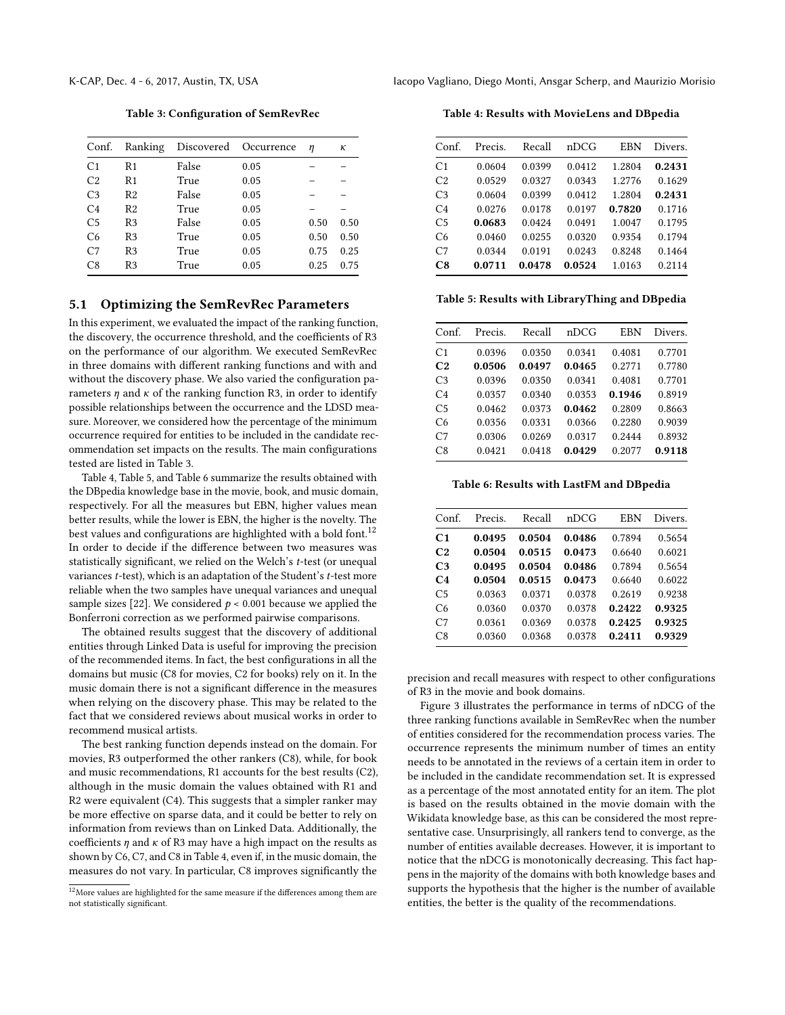Table 3: Configuration of SemRevRec

<span id="page-5-1"></span>

| Conf.          | Ranking        |       | Discovered Occurrence | η    | κ    |
|----------------|----------------|-------|-----------------------|------|------|
| C <sub>1</sub> | R1             | False | 0.05                  |      |      |
| C <sub>2</sub> | R1             | True  | 0.05                  |      |      |
| C <sub>3</sub> | R2             | False | 0.05                  |      |      |
| C <sub>4</sub> | R <sub>2</sub> | True  | 0.05                  |      |      |
| C <sub>5</sub> | R <sub>3</sub> | False | 0.05                  | 0.50 | 0.50 |
| C <sub>6</sub> | R <sub>3</sub> | True  | 0.05                  | 0.50 | 0.50 |
| C <sub>7</sub> | R3             | True  | 0.05                  | 0.75 | 0.25 |
| C8             | R3             | True  | 0.05                  | 0.25 | 0.75 |
|                |                |       |                       |      |      |

#### <span id="page-5-0"></span>5.1 Optimizing the SemRevRec Parameters

In this experiment, we evaluated the impact of the ranking function, the discovery, the occurrence threshold, and the coefficients of R3 on the performance of our algorithm. We executed SemRevRec in three domains with different ranking functions and with and without the discovery phase. We also varied the configuration parameters  $\eta$  and  $\kappa$  of the ranking function R3, in order to identify possible relationships between the occurrence and the LDSD measure. Moreover, we considered how the percentage of the minimum occurrence required for entities to be included in the candidate recommendation set impacts on the results. The main configurations tested are listed in Table [3.](#page-5-1)

Table [4,](#page-5-2) Table [5,](#page-5-3) and Table [6](#page-5-4) summarize the results obtained with the DBpedia knowledge base in the movie, book, and music domain, respectively. For all the measures but EBN, higher values mean better results, while the lower is EBN, the higher is the novelty. The best values and configurations are highlighted with a bold font.<sup>[12](#page-5-5)</sup> In order to decide if the difference between two measures was statistically significant, we relied on the Welch's t-test (or unequal variances  $t$ -test), which is an adaptation of the Student's  $t$ -test more reliable when the two samples have unequal variances and unequal sample sizes [\[22\]](#page-8-27). We considered  $p < 0.001$  because we applied the Bonferroni correction as we performed pairwise comparisons.

The obtained results suggest that the discovery of additional entities through Linked Data is useful for improving the precision of the recommended items. In fact, the best configurations in all the domains but music (C8 for movies, C2 for books) rely on it. In the music domain there is not a significant difference in the measures when relying on the discovery phase. This may be related to the fact that we considered reviews about musical works in order to recommend musical artists.

The best ranking function depends instead on the domain. For movies, R3 outperformed the other rankers (C8), while, for book and music recommendations, R1 accounts for the best results (C2), although in the music domain the values obtained with R1 and R2 were equivalent (C4). This suggests that a simpler ranker may be more effective on sparse data, and it could be better to rely on information from reviews than on Linked Data. Additionally, the coefficients  $\eta$  and  $\kappa$  of R3 may have a high impact on the results as shown by C6, C7, and C8 in Table [4,](#page-5-2) even if, in the music domain, the measures do not vary. In particular, C8 improves significantly the

<span id="page-5-2"></span>Table 4: Results with MovieLens and DBpedia

| Conf.          | Precis. | Recall | nDCG   | EBN    | Divers. |
|----------------|---------|--------|--------|--------|---------|
| C <sub>1</sub> | 0.0604  | 0.0399 | 0.0412 | 1.2804 | 0.2431  |
| C2             | 0.0529  | 0.0327 | 0.0343 | 1.2776 | 0.1629  |
| C <sub>3</sub> | 0.0604  | 0.0399 | 0.0412 | 1.2804 | 0.2431  |
| C <sub>4</sub> | 0.0276  | 0.0178 | 0.0197 | 0.7820 | 0.1716  |
| C <sub>5</sub> | 0.0683  | 0.0424 | 0.0491 | 1.0047 | 0.1795  |
| C <sub>6</sub> | 0.0460  | 0.0255 | 0.0320 | 0.9354 | 0.1794  |
| C7             | 0.0344  | 0.0191 | 0.0243 | 0.8248 | 0.1464  |
| C8             | 0.0711  | 0.0478 | 0.0524 | 1.0163 | 0.2114  |

<span id="page-5-3"></span>Table 5: Results with LibraryThing and DBpedia

| Conf.          | Precis. | Recall | nDCG   | EBN    | Divers. |
|----------------|---------|--------|--------|--------|---------|
| C <sub>1</sub> | 0.0396  | 0.0350 | 0.0341 | 0.4081 | 0.7701  |
| C <sub>2</sub> | 0.0506  | 0.0497 | 0.0465 | 0.2771 | 0.7780  |
| C <sub>3</sub> | 0.0396  | 0.0350 | 0.0341 | 0.4081 | 0.7701  |
| C <sub>4</sub> | 0.0357  | 0.0340 | 0.0353 | 0.1946 | 0.8919  |
| C <sub>5</sub> | 0.0462  | 0.0373 | 0.0462 | 0.2809 | 0.8663  |
| C <sub>6</sub> | 0.0356  | 0.0331 | 0.0366 | 0.2280 | 0.9039  |
| C7             | 0.0306  | 0.0269 | 0.0317 | 0.2444 | 0.8932  |
| C8             | 0.0421  | 0.0418 | 0.0429 | 0.2077 | 0.9118  |

Table 6: Results with LastFM and DBpedia

<span id="page-5-4"></span>

| Conf.          | Precis. | Recall | nDCG   | <b>EBN</b> | Divers. |
|----------------|---------|--------|--------|------------|---------|
| C <sub>1</sub> | 0.0495  | 0.0504 | 0.0486 | 0.7894     | 0.5654  |
| C <sub>2</sub> | 0.0504  | 0.0515 | 0.0473 | 0.6640     | 0.6021  |
| C <sub>3</sub> | 0.0495  | 0.0504 | 0.0486 | 0.7894     | 0.5654  |
| C <sub>4</sub> | 0.0504  | 0.0515 | 0.0473 | 0.6640     | 0.6022  |
| C <sub>5</sub> | 0.0363  | 0.0371 | 0.0378 | 0.2619     | 0.9238  |
| C <sub>6</sub> | 0.0360  | 0.0370 | 0.0378 | 0.2422     | 0.9325  |
| C <sub>7</sub> | 0.0361  | 0.0369 | 0.0378 | 0.2425     | 0.9325  |
| C <sub>8</sub> | 0.0360  | 0.0368 | 0.0378 | 0.2411     | 0.9329  |

precision and recall measures with respect to other configurations of R3 in the movie and book domains.

Figure [3](#page-6-2) illustrates the performance in terms of nDCG of the three ranking functions available in SemRevRec when the number of entities considered for the recommendation process varies. The occurrence represents the minimum number of times an entity needs to be annotated in the reviews of a certain item in order to be included in the candidate recommendation set. It is expressed as a percentage of the most annotated entity for an item. The plot is based on the results obtained in the movie domain with the Wikidata knowledge base, as this can be considered the most representative case. Unsurprisingly, all rankers tend to converge, as the number of entities available decreases. However, it is important to notice that the nDCG is monotonically decreasing. This fact happens in the majority of the domains with both knowledge bases and supports the hypothesis that the higher is the number of available entities, the better is the quality of the recommendations.

<span id="page-5-5"></span> $^{12}\rm{More}$  values are highlighted for the same measure if the differences among them are not statistically significant.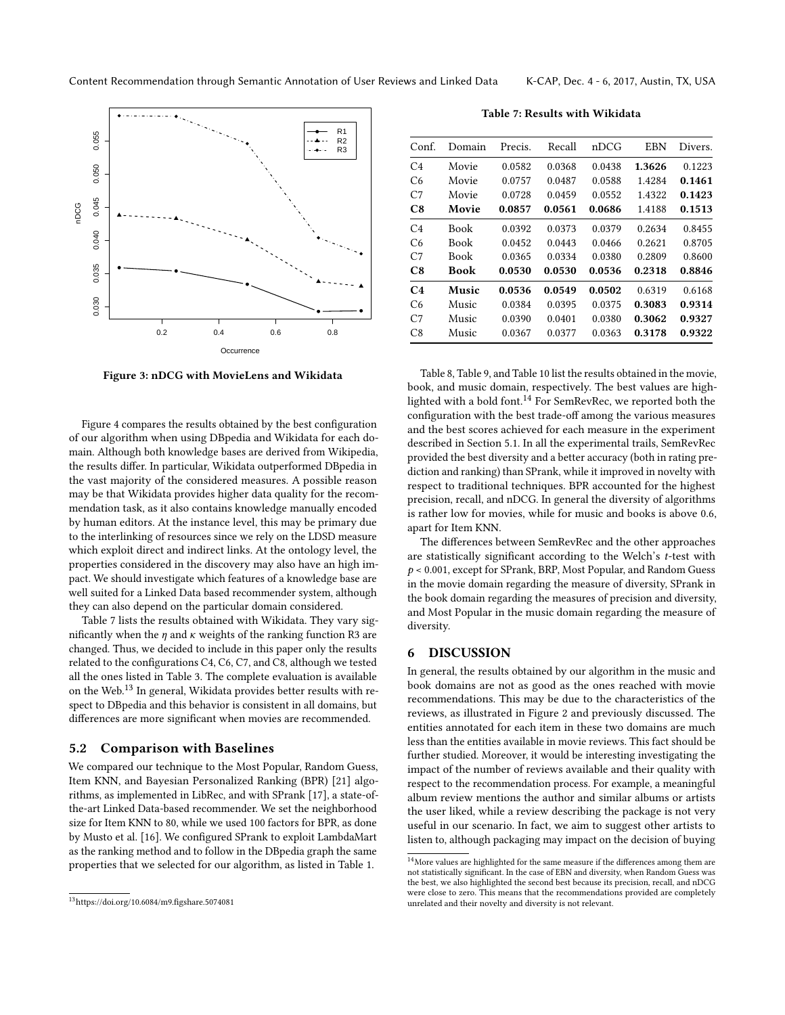<span id="page-6-2"></span>

Figure 3: nDCG with MovieLens and Wikidata

Figure [4](#page-7-0) compares the results obtained by the best configuration of our algorithm when using DBpedia and Wikidata for each domain. Although both knowledge bases are derived from Wikipedia, the results differ. In particular, Wikidata outperformed DBpedia in the vast majority of the considered measures. A possible reason may be that Wikidata provides higher data quality for the recommendation task, as it also contains knowledge manually encoded by human editors. At the instance level, this may be primary due to the interlinking of resources since we rely on the LDSD measure which exploit direct and indirect links. At the ontology level, the properties considered in the discovery may also have an high impact. We should investigate which features of a knowledge base are well suited for a Linked Data based recommender system, although they can also depend on the particular domain considered.

Table [7](#page-6-3) lists the results obtained with Wikidata. They vary significantly when the  $\eta$  and  $\kappa$  weights of the ranking function R3 are changed. Thus, we decided to include in this paper only the results related to the configurations C4, C6, C7, and C8, although we tested all the ones listed in Table [3.](#page-5-1) The complete evaluation is available on the Web.[13](#page-6-4) In general, Wikidata provides better results with respect to DBpedia and this behavior is consistent in all domains, but differences are more significant when movies are recommended.

### <span id="page-6-1"></span>5.2 Comparison with Baselines

We compared our technique to the Most Popular, Random Guess, Item KNN, and Bayesian Personalized Ranking (BPR) [\[21\]](#page-8-28) algorithms, as implemented in LibRec, and with SPrank [\[17\]](#page-8-19), a state-ofthe-art Linked Data-based recommender. We set the neighborhood size for Item KNN to 80, while we used 100 factors for BPR, as done by Musto et al. [\[16\]](#page-8-15). We configured SPrank to exploit LambdaMart as the ranking method and to follow in the DBpedia graph the same properties that we selected for our algorithm, as listed in Table [1.](#page-3-1)

Table 7: Results with Wikidata

<span id="page-6-3"></span>

| Conf.          | Domain | Precis. | Recall | nDCG   | <b>EBN</b> | Divers. |
|----------------|--------|---------|--------|--------|------------|---------|
| C <sub>4</sub> | Movie  | 0.0582  | 0.0368 | 0.0438 | 1.3626     | 0.1223  |
| C6             | Movie  | 0.0757  | 0.0487 | 0.0588 | 1.4284     | 0.1461  |
| C <sub>7</sub> | Movie  | 0.0728  | 0.0459 | 0.0552 | 1.4322     | 0.1423  |
| C8             | Movie  | 0.0857  | 0.0561 | 0.0686 | 1.4188     | 0.1513  |
| C <sub>4</sub> | Book   | 0.0392  | 0.0373 | 0.0379 | 0.2634     | 0.8455  |
| C6             | Book   | 0.0452  | 0.0443 | 0.0466 | 0.2621     | 0.8705  |
| C <sub>7</sub> | Book   | 0.0365  | 0.0334 | 0.0380 | 0.2809     | 0.8600  |
| C8             | Book   | 0.0530  | 0.0530 | 0.0536 | 0.2318     | 0.8846  |
| C4             | Music  | 0.0536  | 0.0549 | 0.0502 | 0.6319     | 0.6168  |
| C6             | Music  | 0.0384  | 0.0395 | 0.0375 | 0.3083     | 0.9314  |
| C <sub>7</sub> | Music  | 0.0390  | 0.0401 | 0.0380 | 0.3062     | 0.9327  |
| C8             | Music  | 0.0367  | 0.0377 | 0.0363 | 0.3178     | 0.9322  |

Table [8,](#page-7-1) Table [9,](#page-7-2) and Table [10](#page-7-3) list the results obtained in the movie, book, and music domain, respectively. The best values are highlighted with a bold font.[14](#page-6-5) For SemRevRec, we reported both the configuration with the best trade-off among the various measures and the best scores achieved for each measure in the experiment described in Section [5.1.](#page-5-0) In all the experimental trails, SemRevRec provided the best diversity and a better accuracy (both in rating prediction and ranking) than SPrank, while it improved in novelty with respect to traditional techniques. BPR accounted for the highest precision, recall, and nDCG. In general the diversity of algorithms is rather low for movies, while for music and books is above 0.6, apart for Item KNN.

The differences between SemRevRec and the other approaches are statistically significant according to the Welch's t-test with  $p < 0.001$ , except for SPrank, BRP, Most Popular, and Random Guess in the movie domain regarding the measure of diversity, SPrank in the book domain regarding the measures of precision and diversity, and Most Popular in the music domain regarding the measure of diversity.

#### <span id="page-6-0"></span>6 DISCUSSION

In general, the results obtained by our algorithm in the music and book domains are not as good as the ones reached with movie recommendations. This may be due to the characteristics of the reviews, as illustrated in Figure [2](#page-4-6) and previously discussed. The entities annotated for each item in these two domains are much less than the entities available in movie reviews. This fact should be further studied. Moreover, it would be interesting investigating the impact of the number of reviews available and their quality with respect to the recommendation process. For example, a meaningful album review mentions the author and similar albums or artists the user liked, while a review describing the package is not very useful in our scenario. In fact, we aim to suggest other artists to listen to, although packaging may impact on the decision of buying

<span id="page-6-4"></span> $\mathrm{^{13}https://doi.org/10.6084/m9.figshare.5074081}}$  $\mathrm{^{13}https://doi.org/10.6084/m9.figshare.5074081}}$  $\mathrm{^{13}https://doi.org/10.6084/m9.figshare.5074081}}$ 

<span id="page-6-5"></span> $^{14}\rm{More}$  values are highlighted for the same measure if the differences among them are not statistically significant. In the case of EBN and diversity, when Random Guess was the best, we also highlighted the second best because its precision, recall, and nDCG were close to zero. This means that the recommendations provided are completely unrelated and their novelty and diversity is not relevant.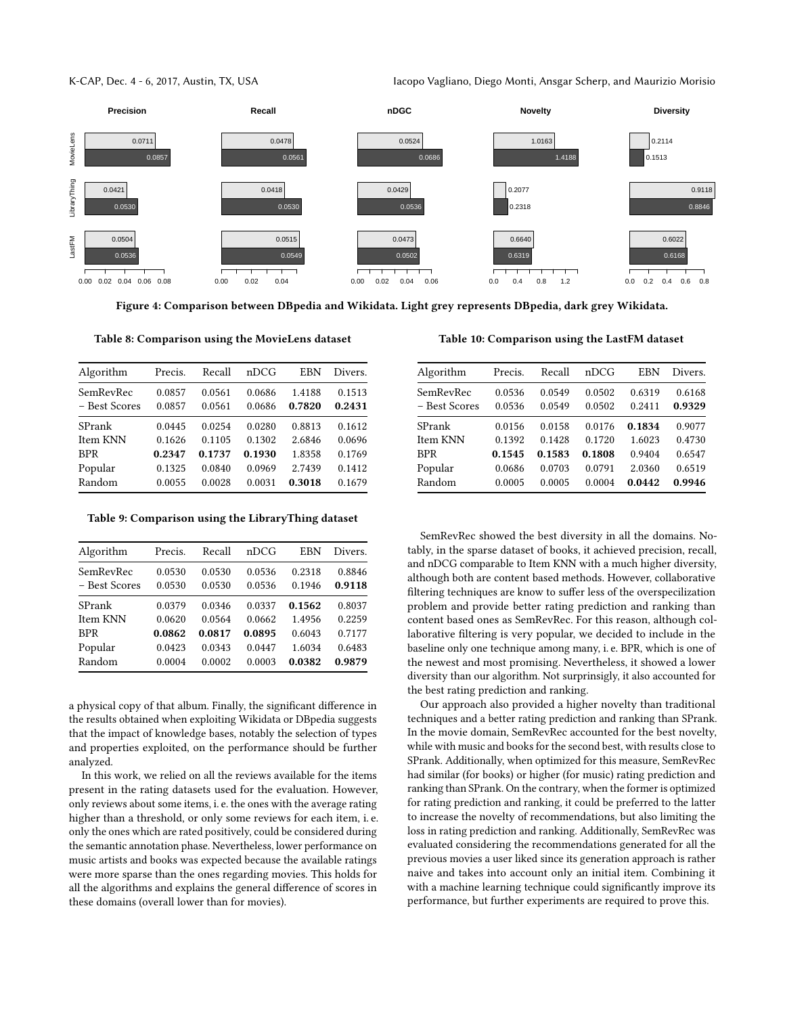K-CAP, Dec. 4 - 6, 2017, Austin, TX, USA Iacopo Vagliano, Diego Monti, Ansgar Scherp, and Maurizio Morisio

<span id="page-7-0"></span>

Figure 4: Comparison between DBpedia and Wikidata. Light grey represents DBpedia, dark grey Wikidata.

<span id="page-7-1"></span>Table 8: Comparison using the MovieLens dataset

| Algorithm                  | Precis.          | Recall           | nDCG             | EBN              | Divers.          |
|----------------------------|------------------|------------------|------------------|------------------|------------------|
| SemRevRec<br>- Best Scores | 0.0857<br>0.0857 | 0.0561<br>0.0561 | 0.0686<br>0.0686 | 1.4188<br>0.7820 | 0.1513<br>0.2431 |
| SPrank                     | 0.0445           | 0.0254           | 0.0280           | 0.8813           | 0.1612           |
| Item KNN                   | 0.1626           | 0.1105           | 0.1302           | 2.6846           | 0.0696           |
| <b>BPR</b>                 | 0.2347           | 0.1737           | 0.1930           | 1.8358           | 0.1769           |
| Popular                    | 0.1325           | 0.0840           | 0.0969           | 2.7439           | 0.1412           |
| Random                     | 0.0055           | 0.0028           | 0.0031           | 0.3018           | 0.1679           |

<span id="page-7-2"></span>Table 9: Comparison using the LibraryThing dataset

| Algorithm     | Precis. | Recall | nDCG   | EBN    | Divers. |
|---------------|---------|--------|--------|--------|---------|
| SemRevRec     | 0.0530  | 0.0530 | 0.0536 | 0.2318 | 0.8846  |
| - Best Scores | 0.0530  | 0.0530 | 0.0536 | 0.1946 | 0.9118  |
| SPrank        | 0.0379  | 0.0346 | 0.0337 | 0.1562 | 0.8037  |
| Item KNN      | 0.0620  | 0.0564 | 0.0662 | 1.4956 | 0.2259  |
| <b>BPR</b>    | 0.0862  | 0.0817 | 0.0895 | 0.6043 | 0.7177  |
| Popular       | 0.0423  | 0.0343 | 0.0447 | 1.6034 | 0.6483  |
| Random        | 0.0004  | 0.0002 | 0.0003 | 0.0382 | 0.9879  |

a physical copy of that album. Finally, the significant difference in the results obtained when exploiting Wikidata or DBpedia suggests that the impact of knowledge bases, notably the selection of types and properties exploited, on the performance should be further analyzed.

In this work, we relied on all the reviews available for the items present in the rating datasets used for the evaluation. However, only reviews about some items, i. e. the ones with the average rating higher than a threshold, or only some reviews for each item, i. e. only the ones which are rated positively, could be considered during the semantic annotation phase. Nevertheless, lower performance on music artists and books was expected because the available ratings were more sparse than the ones regarding movies. This holds for all the algorithms and explains the general difference of scores in these domains (overall lower than for movies).

<span id="page-7-3"></span>Table 10: Comparison using the LastFM dataset

| Algorithm     | Precis. | Recall | nDCG   | EBN    | Divers. |
|---------------|---------|--------|--------|--------|---------|
| SemRevRec     | 0.0536  | 0.0549 | 0.0502 | 0.6319 | 0.6168  |
| - Best Scores | 0.0536  | 0.0549 | 0.0502 | 0.2411 | 0.9329  |
| SPrank        | 0.0156  | 0.0158 | 0.0176 | 0.1834 | 0.9077  |
| Item KNN      | 0.1392  | 0.1428 | 0.1720 | 1.6023 | 0.4730  |
| <b>BPR</b>    | 0.1545  | 0.1583 | 0.1808 | 0.9404 | 0.6547  |
| Popular       | 0.0686  | 0.0703 | 0.0791 | 2.0360 | 0.6519  |
| Random        | 0.0005  | 0.0005 | 0.0004 | 0.0442 | 0.9946  |

SemRevRec showed the best diversity in all the domains. Notably, in the sparse dataset of books, it achieved precision, recall, and nDCG comparable to Item KNN with a much higher diversity, although both are content based methods. However, collaborative filtering techniques are know to suffer less of the overspecilization problem and provide better rating prediction and ranking than content based ones as SemRevRec. For this reason, although collaborative filtering is very popular, we decided to include in the baseline only one technique among many, i. e. BPR, which is one of the newest and most promising. Nevertheless, it showed a lower diversity than our algorithm. Not surprinsigly, it also accounted for the best rating prediction and ranking.

Our approach also provided a higher novelty than traditional techniques and a better rating prediction and ranking than SPrank. In the movie domain, SemRevRec accounted for the best novelty, while with music and books for the second best, with results close to SPrank. Additionally, when optimized for this measure, SemRevRec had similar (for books) or higher (for music) rating prediction and ranking than SPrank. On the contrary, when the former is optimized for rating prediction and ranking, it could be preferred to the latter to increase the novelty of recommendations, but also limiting the loss in rating prediction and ranking. Additionally, SemRevRec was evaluated considering the recommendations generated for all the previous movies a user liked since its generation approach is rather naive and takes into account only an initial item. Combining it with a machine learning technique could significantly improve its performance, but further experiments are required to prove this.